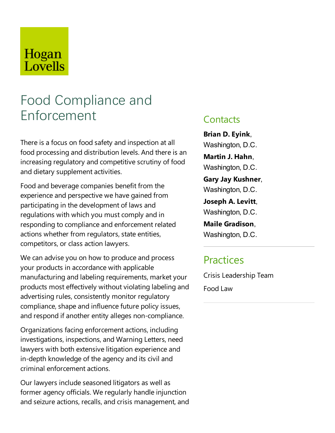## Hogan Lovells

# Food Compliance and Enforcement

There is a focus on food safety and inspection at all food processing and distribution levels. And there is an increasing regulatory and competitive scrutiny of food and dietary supplement activities.

Food and beverage companies benefit from the experience and perspective we have gained from participating in the development of laws and regulations with which you must comply and in responding to compliance and enforcement related actions whether from regulators, state entities, competitors, or class action lawyers.

We can advise you on how to produce and process your products in accordance with applicable manufacturing and labeling requirements, market your products most effectively without violating labeling and advertising rules, consistently monitor regulatory compliance, shape and influence future policy issues, and respond if another entity alleges non-compliance.

Organizations facing enforcement actions, including investigations, inspections, and Warning Letters, need lawyers with both extensive litigation experience and in-depth knowledge of the agency and its civil and criminal enforcement actions.

Our lawyers include seasoned litigators as well as former agency officials. We regularly handle injunction and seizure actions, recalls, and crisis management, and

### **Contacts**

**Brian D. Eyink**, Washington, D.C.

**Martin J. Hahn**, Washington, D.C.

**Gary Jay Kushner**, Washington, D.C.

**Joseph A.Levitt**, Washington, D.C.

**Maile Gradison**, Washington, D.C.

## **Practices**

Crisis Leadership Team Food Law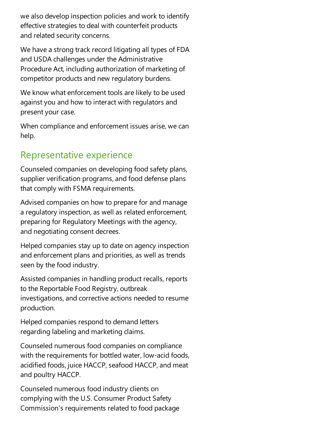we also develop inspection policies and work to identify effective strategies to deal with counterfeit products and related security concerns.

We have a strong track record litigating all types of FDA and USDA challenges under the Administrative Procedure Act, including authorization of marketing of competitor products and new regulatory burdens.

We know what enforcement tools are likely to be used against you and how to interact with regulators and present your case.

When compliance and enforcement issues arise, we can help.

## Representative experience

Counseled companies on developing food safety plans, supplier verification programs, and food defense plans that comply with FSMA requirements.

Advised companies on how to prepare for and manage a regulatory inspection, as well as related enforcement, preparing for Regulatory Meetings with the agency, and negotiating consent decrees.

Helped companies stay up to date on agency inspection and enforcement plans and priorities, as well as trends seen by the food industry.

Assisted companies in handling product recalls, reports to the Reportable Food Registry, outbreak investigations, and corrective actions needed to resume production.

Helped companies respond to demand letters regarding labeling and marketing claims.

Counseled numerous food companies on compliance with the requirements for bottled water, low-acid foods, acidified foods, juice HACCP, seafood HACCP, and meat and poultry HACCP.

Counseled numerous food industry clients on complying with the U.S. Consumer Product Safety Commission's requirements related to food package